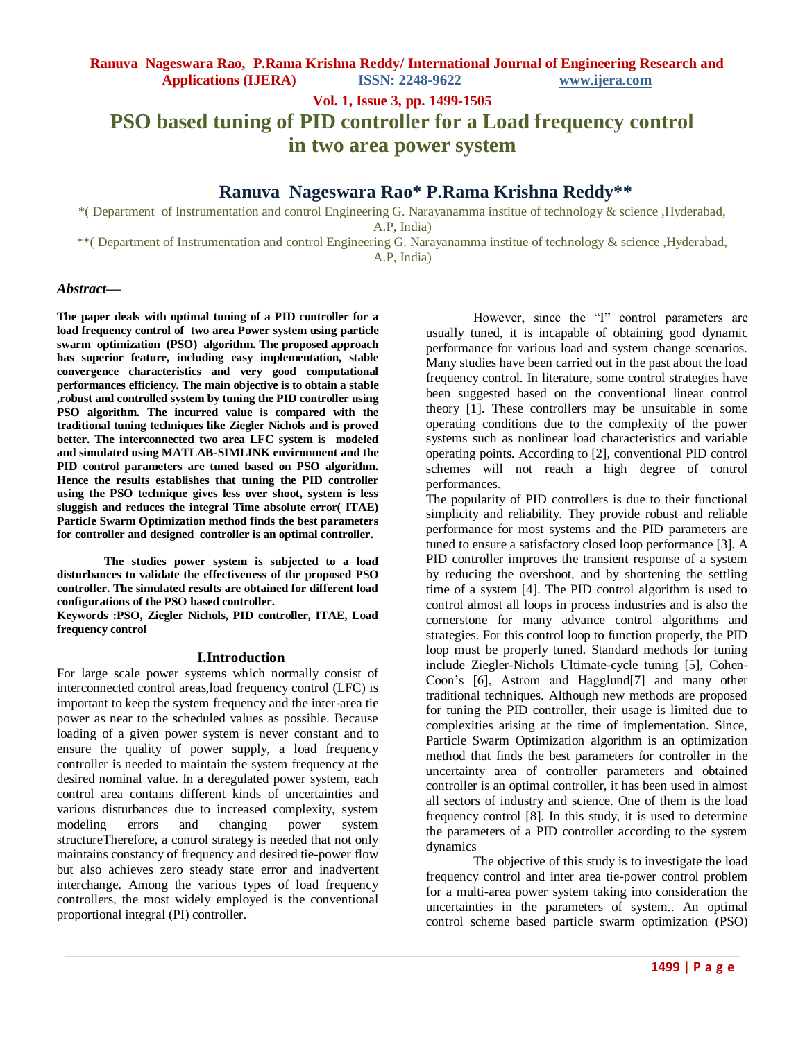**Vol. 1, Issue 3, pp. 1499-1505**

# **PSO based tuning of PID controller for a Load frequency control in two area power system**

# **Ranuva Nageswara Rao\* P.Rama Krishna Reddy\*\***

\*( Department of Instrumentation and control Engineering G. Narayanamma institue of technology & science ,Hyderabad, A.P, India)

\*\*( Department of Instrumentation and control Engineering G. Narayanamma institue of technology & science ,Hyderabad, A.P, India)

#### *Abstract***—**

**The paper deals with optimal tuning of a PID controller for a load frequency control of two area Power system using particle swarm optimization (PSO) algorithm. The proposed approach has superior feature, including easy implementation, stable convergence characteristics and very good computational performances efficiency. The main objective is to obtain a stable ,robust and controlled system by tuning the PID controller using PSO algorithm. The incurred value is compared with the traditional tuning techniques like Ziegler Nichols and is proved better. The interconnected two area LFC system is modeled and simulated using MATLAB-SIMLINK environment and the PID control parameters are tuned based on PSO algorithm. Hence the results establishes that tuning the PID controller using the PSO technique gives less over shoot, system is less sluggish and reduces the integral Time absolute error( ITAE) Particle Swarm Optimization method finds the best parameters for controller and designed controller is an optimal controller.**

**The studies power system is subjected to a load disturbances to validate the effectiveness of the proposed PSO controller. The simulated results are obtained for different load configurations of the PSO based controller.**

**Keywords :PSO, Ziegler Nichols, PID controller, ITAE, Load frequency control**

#### **I.Introduction**

For large scale power systems which normally consist of interconnected control areas,load frequency control (LFC) is important to keep the system frequency and the inter-area tie power as near to the scheduled values as possible. Because loading of a given power system is never constant and to ensure the quality of power supply, a load frequency controller is needed to maintain the system frequency at the desired nominal value. In a deregulated power system, each control area contains different kinds of uncertainties and various disturbances due to increased complexity, system modeling errors and changing power system structureTherefore, a control strategy is needed that not only maintains constancy of frequency and desired tie-power flow but also achieves zero steady state error and inadvertent interchange. Among the various types of load frequency controllers, the most widely employed is the conventional proportional integral (PI) controller.

However, since the "I" control parameters are usually tuned, it is incapable of obtaining good dynamic performance for various load and system change scenarios. Many studies have been carried out in the past about the load frequency control. In literature, some control strategies have been suggested based on the conventional linear control theory [1]. These controllers may be unsuitable in some operating conditions due to the complexity of the power systems such as nonlinear load characteristics and variable operating points. According to [2], conventional PID control schemes will not reach a high degree of control performances.

The popularity of PID controllers is due to their functional simplicity and reliability. They provide robust and reliable performance for most systems and the PID parameters are tuned to ensure a satisfactory closed loop performance [3]. A PID controller improves the transient response of a system by reducing the overshoot, and by shortening the settling time of a system [4]. The PID control algorithm is used to control almost all loops in process industries and is also the cornerstone for many advance control algorithms and strategies. For this control loop to function properly, the PID loop must be properly tuned. Standard methods for tuning include Ziegler-Nichols Ultimate-cycle tuning [5], Cohen-Coon's [6], Astrom and Hagglund[7] and many other traditional techniques. Although new methods are proposed for tuning the PID controller, their usage is limited due to complexities arising at the time of implementation. Since, Particle Swarm Optimization algorithm is an optimization method that finds the best parameters for controller in the uncertainty area of controller parameters and obtained controller is an optimal controller, it has been used in almost all sectors of industry and science. One of them is the load frequency control [8]. In this study, it is used to determine the parameters of a PID controller according to the system dynamics

The objective of this study is to investigate the load frequency control and inter area tie-power control problem for a multi-area power system taking into consideration the uncertainties in the parameters of system.. An optimal control scheme based particle swarm optimization (PSO)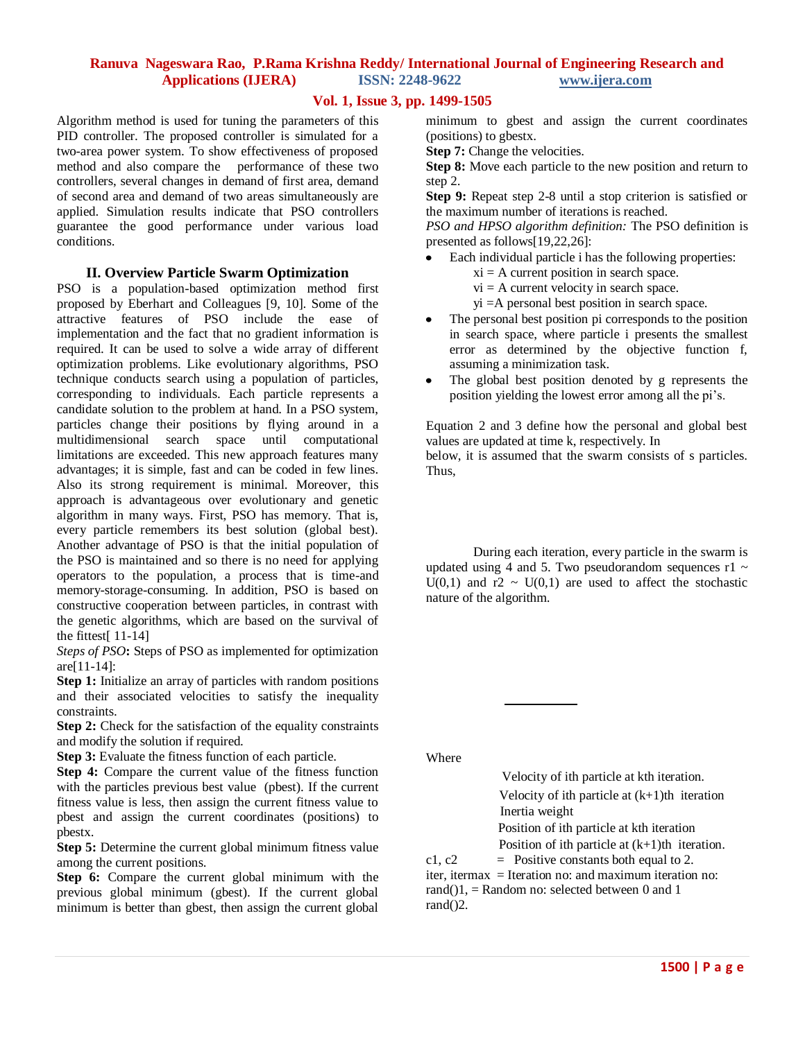# **Vol. 1, Issue 3, pp. 1499-1505**

Algorithm method is used for tuning the parameters of this PID controller. The proposed controller is simulated for a two-area power system. To show effectiveness of proposed method and also compare the performance of these two controllers, several changes in demand of first area, demand of second area and demand of two areas simultaneously are applied. Simulation results indicate that PSO controllers guarantee the good performance under various load conditions.

#### **II. Overview Particle Swarm Optimization**

PSO is a population-based optimization method first proposed by Eberhart and Colleagues [9, 10]. Some of the attractive features of PSO include the ease of implementation and the fact that no gradient information is required. It can be used to solve a wide array of different optimization problems. Like evolutionary algorithms, PSO technique conducts search using a population of particles, corresponding to individuals. Each particle represents a candidate solution to the problem at hand. In a PSO system, particles change their positions by flying around in a multidimensional search space until computational limitations are exceeded. This new approach features many advantages; it is simple, fast and can be coded in few lines. Also its strong requirement is minimal. Moreover, this approach is advantageous over evolutionary and genetic algorithm in many ways. First, PSO has memory. That is, every particle remembers its best solution (global best). Another advantage of PSO is that the initial population of the PSO is maintained and so there is no need for applying operators to the population, a process that is time-and memory-storage-consuming. In addition, PSO is based on constructive cooperation between particles, in contrast with the genetic algorithms, which are based on the survival of the fittest[ 11-14]

*Steps of PSO***:** Steps of PSO as implemented for optimization are[11-14]:

**Step 1:** Initialize an array of particles with random positions and their associated velocities to satisfy the inequality constraints.

**Step 2:** Check for the satisfaction of the equality constraints and modify the solution if required.

**Step 3:** Evaluate the fitness function of each particle.

**Step 4:** Compare the current value of the fitness function with the particles previous best value (pbest). If the current fitness value is less, then assign the current fitness value to pbest and assign the current coordinates (positions) to pbestx.

**Step 5:** Determine the current global minimum fitness value among the current positions.

**Step 6:** Compare the current global minimum with the previous global minimum (gbest). If the current global minimum is better than gbest, then assign the current global minimum to gbest and assign the current coordinates (positions) to gbestx.

**Step 7:** Change the velocities.

**Step 8:** Move each particle to the new position and return to step 2.

**Step 9:** Repeat step 2-8 until a stop criterion is satisfied or the maximum number of iterations is reached.

*PSO and HPSO algorithm definition:* The PSO definition is presented as follows[19,22,26]:

- Each individual particle i has the following properties:
	- $xi = A$  current position in search space.
	- $vi = A$  current velocity in search space.
	- yi =A personal best position in search space.
- The personal best position pi corresponds to the position in search space, where particle i presents the smallest error as determined by the objective function f, assuming a minimization task.
- The global best position denoted by g represents the  $\bullet$ position yielding the lowest error among all the pi's.

Equation 2 and 3 define how the personal and global best values are updated at time k, respectively. In

below, it is assumed that the swarm consists of s particles. Thus,

During each iteration, every particle in the swarm is updated using 4 and 5. Two pseudorandom sequences  $r1 \sim$  $U(0,1)$  and  $T^2 \sim U(0,1)$  are used to affect the stochastic nature of the algorithm.

Where

Velocity of ith particle at kth iteration. Velocity of ith particle at  $(k+1)$ th iteration Inertia weight

Position of ith particle at kth iteration Position of ith particle at  $(k+1)$ th iteration.

c1, c2  $=$  Positive constants both equal to 2.

iter, itermax = Iteration no: and maximum iteration no: rand() $1$ , = Random no: selected between 0 and 1 rand()2.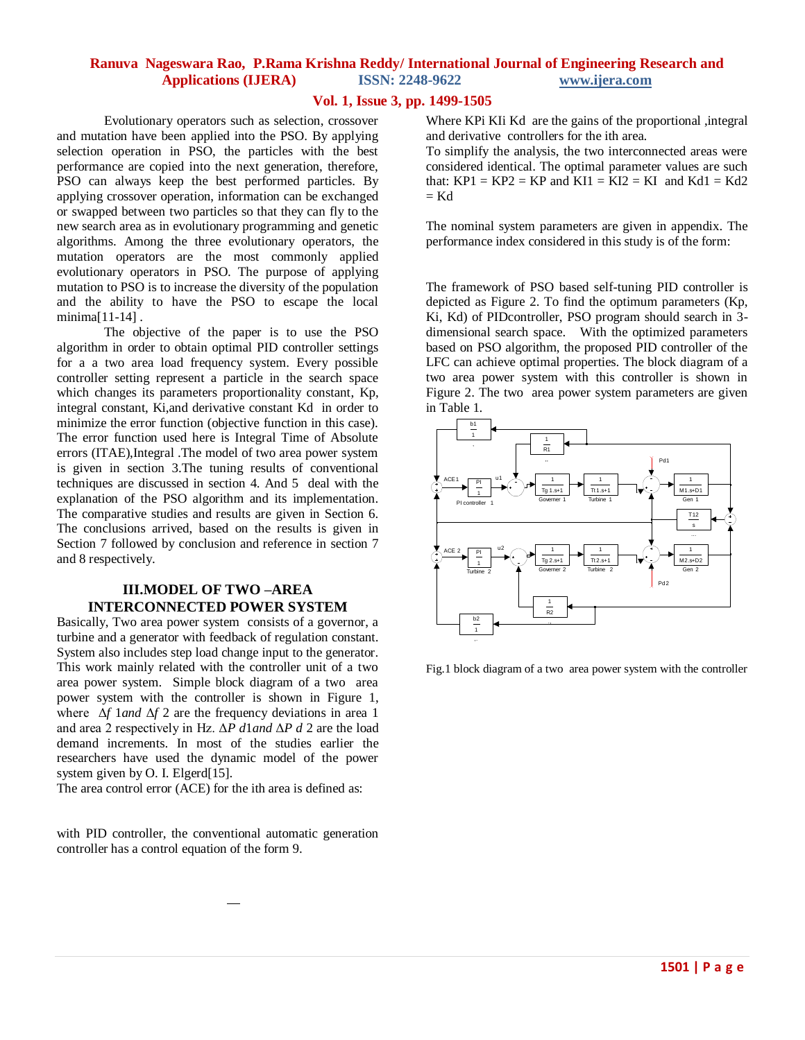#### **Vol. 1, Issue 3, pp. 1499-1505**

Evolutionary operators such as selection, crossover and mutation have been applied into the PSO. By applying selection operation in PSO, the particles with the best performance are copied into the next generation, therefore, PSO can always keep the best performed particles. By applying crossover operation, information can be exchanged or swapped between two particles so that they can fly to the new search area as in evolutionary programming and genetic algorithms. Among the three evolutionary operators, the mutation operators are the most commonly applied evolutionary operators in PSO. The purpose of applying mutation to PSO is to increase the diversity of the population and the ability to have the PSO to escape the local minima[11-14] .

The objective of the paper is to use the PSO algorithm in order to obtain optimal PID controller settings for a a two area load frequency system. Every possible controller setting represent a particle in the search space which changes its parameters proportionality constant, Kp, integral constant, Ki,and derivative constant Kd in order to minimize the error function (objective function in this case). The error function used here is Integral Time of Absolute errors (ITAE),Integral .The model of two area power system is given in section 3.The tuning results of conventional techniques are discussed in section 4. And 5 deal with the explanation of the PSO algorithm and its implementation. The comparative studies and results are given in Section 6. The conclusions arrived, based on the results is given in Section 7 followed by conclusion and reference in section 7 and 8 respectively.

# **III.MODEL OF TWO –AREA INTERCONNECTED POWER SYSTEM**

Basically, Two area power system consists of a governor, a turbine and a generator with feedback of regulation constant. System also includes step load change input to the generator. This work mainly related with the controller unit of a two area power system. Simple block diagram of a two area power system with the controller is shown in Figure 1, where Δ*f* 1*and* Δ*f* 2 are the frequency deviations in area 1 and area 2 respectively in Hz. Δ*P d*1*and* Δ*P d* 2 are the load demand increments. In most of the studies earlier the researchers have used the dynamic model of the power system given by O. I. Elgerd[15].

The area control error (ACE) for the ith area is defined as:

with PID controller, the conventional automatic generation controller has a control equation of the form 9.

Where KPi KIi Kd are the gains of the proportional ,integral and derivative controllers for the ith area.

To simplify the analysis, the two interconnected areas were considered identical. The optimal parameter values are such that:  $KP1 = KP2 = KP$  and  $KI1 = K12 = K1$  and  $Kd1 = Kd2$  $=$  Kd

The nominal system parameters are given in appendix. The performance index considered in this study is of the form:

The framework of PSO based self-tuning PID controller is depicted as Figure 2. To find the optimum parameters (Kp, Ki, Kd) of PIDcontroller, PSO program should search in 3 dimensional search space. With the optimized parameters based on PSO algorithm, the proposed PID controller of the LFC can achieve optimal properties. The block diagram of a two area power system with this controller is shown in Figure 2. The two area power system parameters are given in Table 1.



Fig.1 block diagram of a two area power system with the controller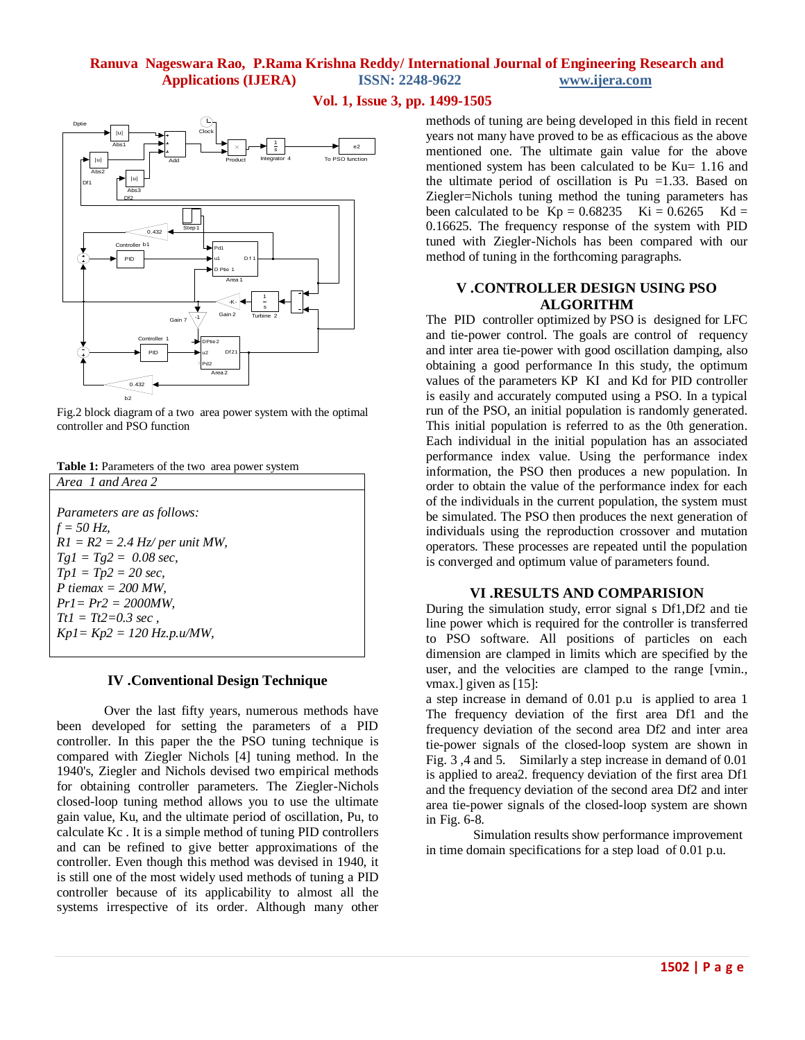# **Vol. 1, Issue 3, pp. 1499-1505**



Fig.2 block diagram of a two area power system with the optimal controller and PSO function

| Table 1: Parameters of the two area power system |  |
|--------------------------------------------------|--|
|--------------------------------------------------|--|

| Area 1 and Area 2                 |
|-----------------------------------|
|                                   |
| <i>Parameters are as follows:</i> |
| $f = 50 Hz$                       |
| $RI = R2 = 2.4$ Hz/per unit MW,   |
| $Tgl = Tg2 = 0.08 sec,$           |
| $Tp1 = Tp2 = 20 sec,$             |
| P tiemax = $200$ MW.              |
| $Pr1 = Pr2 = 2000MW$ ,            |
| $Tt1 = Tt2 = 0.3 sec$ .           |
| $Kp1 = Kp2 = 120 Hz.p.u/MW,$      |
|                                   |

#### **IV .Conventional Design Technique**

Over the last fifty years, numerous methods have been developed for setting the parameters of a PID controller. In this paper the the PSO tuning technique is compared with Ziegler Nichols [4] tuning method. In the 1940's, Ziegler and Nichols devised two empirical methods for obtaining controller parameters. The Ziegler-Nichols closed-loop tuning method allows you to use the ultimate gain value, Ku, and the ultimate period of oscillation, Pu, to calculate Kc . It is a simple method of tuning PID controllers and can be refined to give better approximations of the controller. Even though this method was devised in 1940, it is still one of the most widely used methods of tuning a PID controller because of its applicability to almost all the systems irrespective of its order. Although many other

methods of tuning are being developed in this field in recent years not many have proved to be as efficacious as the above mentioned one. The ultimate gain value for the above mentioned system has been calculated to be Ku= 1.16 and the ultimate period of oscillation is Pu  $=1.33$ . Based on Ziegler=Nichols tuning method the tuning parameters has been calculated to be  $Kp = 0.68235$   $Ki = 0.6265$   $Kd =$ 0.16625. The frequency response of the system with PID tuned with Ziegler-Nichols has been compared with our method of tuning in the forthcoming paragraphs.

#### **V .CONTROLLER DESIGN USING PSO ALGORITHM**

The PID controller optimized by PSO is designed for LFC and tie-power control. The goals are control of requency and inter area tie-power with good oscillation damping, also obtaining a good performance In this study, the optimum values of the parameters KP KI and Kd for PID controller is easily and accurately computed using a PSO. In a typical run of the PSO, an initial population is randomly generated. This initial population is referred to as the 0th generation. Each individual in the initial population has an associated performance index value. Using the performance index information, the PSO then produces a new population. In order to obtain the value of the performance index for each of the individuals in the current population, the system must be simulated. The PSO then produces the next generation of individuals using the reproduction crossover and mutation operators. These processes are repeated until the population is converged and optimum value of parameters found.

#### **VI .RESULTS AND COMPARISION**

During the simulation study, error signal s Df1,Df2 and tie line power which is required for the controller is transferred to PSO software. All positions of particles on each dimension are clamped in limits which are specified by the user, and the velocities are clamped to the range [vmin., vmax.] given as [15]:

a step increase in demand of 0.01 p.u is applied to area 1 The frequency deviation of the first area Df1 and the frequency deviation of the second area Df2 and inter area tie-power signals of the closed-loop system are shown in Fig. 3 ,4 and 5. Similarly a step increase in demand of 0.01 is applied to area2. frequency deviation of the first area Df1 and the frequency deviation of the second area Df2 and inter area tie-power signals of the closed-loop system are shown in Fig. 6-8.

Simulation results show performance improvement in time domain specifications for a step load of 0.01 p.u.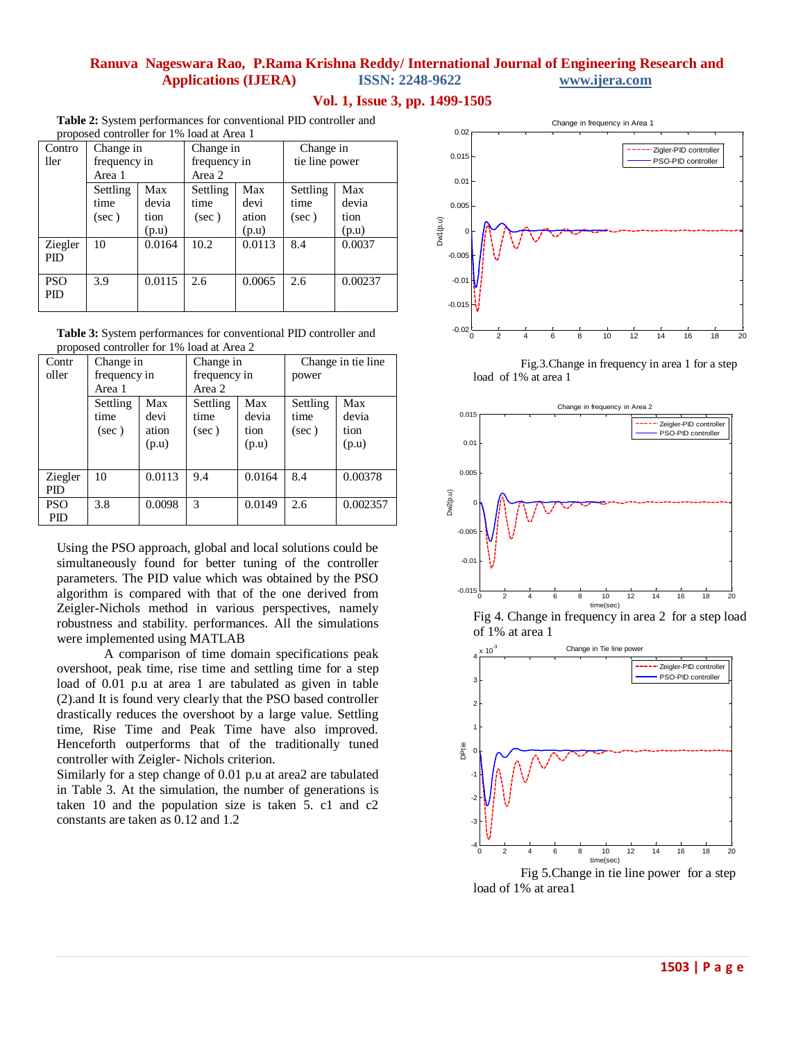#### **Vol. 1, Issue 3, pp. 1499-1505**

**Table 2:** System performances for conventional PID controller and proposed controller for 1% load at Area 1

| Contro<br>ller        | Change in<br>frequency in<br>Area 1 |                               | Change in<br>frequency in<br>Area 2 |                               | Change in<br>tie line power |                               |  |
|-----------------------|-------------------------------------|-------------------------------|-------------------------------------|-------------------------------|-----------------------------|-------------------------------|--|
|                       | Settling<br>time<br>$(\sec)$        | Max<br>devia<br>tion<br>(p.u) | Settling<br>time<br>(sec)           | Max<br>devi<br>ation<br>(p.u) | Settling<br>time<br>(sec)   | Max<br>devia<br>tion<br>(p.u) |  |
| Ziegler<br><b>PID</b> | 10                                  | 0.0164                        | 10.2                                | 0.0113                        | 8.4                         | 0.0037                        |  |
| <b>PSO</b><br>PID     | 3.9                                 | 0.0115                        | 2.6                                 | 0.0065                        | 2.6                         | 0.00237                       |  |

**Table 3:** System performances for conventional PID controller and proposed controller for 1% load at Area 2

| r - - r -<br>Contr<br>oller | Change in<br>frequency in<br>Area 1 |                               | Change in<br>frequency in<br>Area 2 |                               | Change in tie line<br>power |                               |
|-----------------------------|-------------------------------------|-------------------------------|-------------------------------------|-------------------------------|-----------------------------|-------------------------------|
|                             | Settling<br>time<br>(sec)           | Max<br>devi<br>ation<br>(p.u) | Settling<br>time<br>$(\sec)$        | Max<br>devia<br>tion<br>(p.u) | Settling<br>time<br>(sec)   | Max<br>devia<br>tion<br>(p.u) |
| Ziegler<br><b>PID</b>       | 10                                  | 0.0113                        | 9.4                                 | 0.0164                        | 8.4                         | 0.00378                       |
| <b>PSO</b><br><b>PID</b>    | 3.8                                 | 0.0098                        | 3                                   | 0.0149                        | 2.6                         | 0.002357                      |

Using the PSO approach, global and local solutions could be simultaneously found for better tuning of the controller parameters. The PID value which was obtained by the PSO algorithm is compared with that of the one derived from Zeigler-Nichols method in various perspectives, namely robustness and stability. performances. All the simulations were implemented using MATLAB

A comparison of time domain specifications peak overshoot, peak time, rise time and settling time for a step load of 0.01 p.u at area 1 are tabulated as given in table (2).and It is found very clearly that the PSO based controller drastically reduces the overshoot by a large value. Settling time, Rise Time and Peak Time have also improved. Henceforth outperforms that of the traditionally tuned controller with Zeigler- Nichols criterion.

Similarly for a step change of 0.01 p.u at area2 are tabulated in Table 3. At the simulation, the number of generations is taken 10 and the population size is taken 5. c1 and c2 constants are taken as 0.12 and 1.2



Fig.3.Change in frequency in area 1 for a step load of 1% at area 1







Fig 5.Change in tie line power for a step load of 1% at area1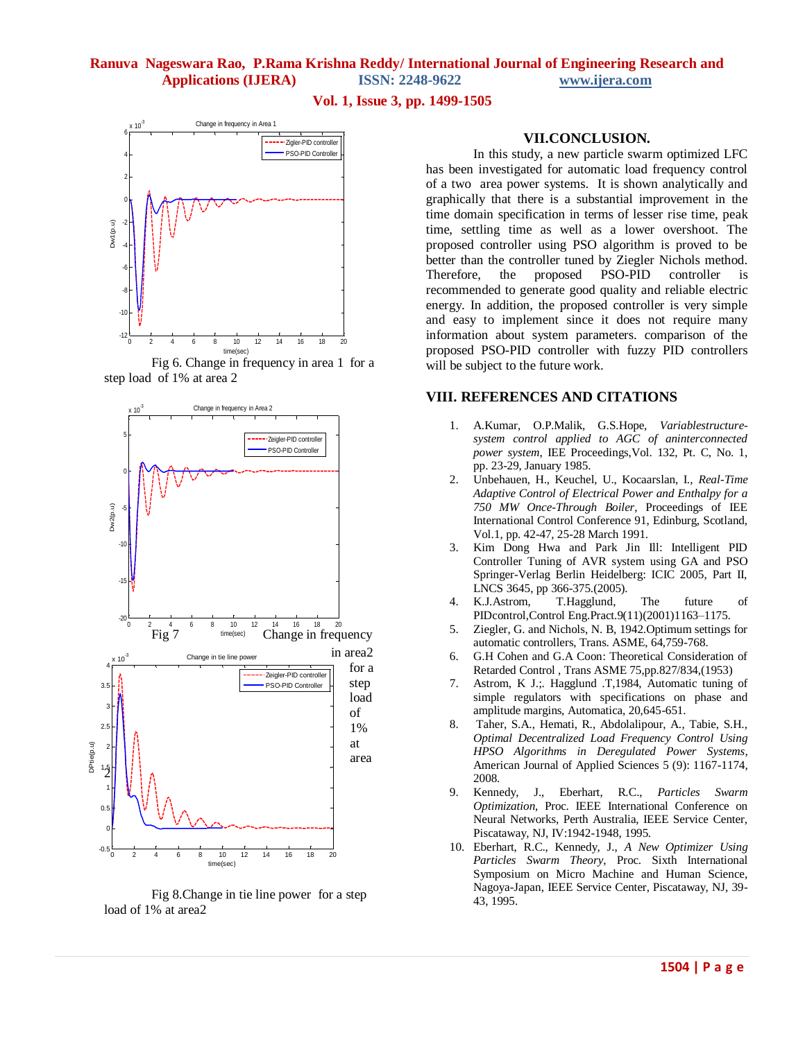#### **Vol. 1, Issue 3, pp. 1499-1505**



Fig 6. Change in frequency in area 1 for a step load of 1% at area 2



Fig 8.Change in tie line power for a step load of 1% at area2

#### **VII.CONCLUSION.**

In this study, a new particle swarm optimized LFC has been investigated for automatic load frequency control of a two area power systems. It is shown analytically and graphically that there is a substantial improvement in the time domain specification in terms of lesser rise time, peak time, settling time as well as a lower overshoot. The proposed controller using PSO algorithm is proved to be better than the controller tuned by Ziegler Nichols method. Therefore, the proposed PSO-PID controller is recommended to generate good quality and reliable electric energy. In addition, the proposed controller is very simple and easy to implement since it does not require many information about system parameters. comparison of the proposed PSO-PID controller with fuzzy PID controllers will be subject to the future work.

## **VIII. REFERENCES AND CITATIONS**

- 1. A.Kumar, O.P.Malik, G.S.Hope, *Variablestructuresystem control applied to AGC of aninterconnected power system*, IEE Proceedings,Vol. 132, Pt. C, No. 1, pp. 23-29, January 1985.
- 2. Unbehauen, H., Keuchel, U., Kocaarslan, I., *Real-Time Adaptive Control of Electrical Power and Enthalpy for a 750 MW Once-Through Boiler*, Proceedings of IEE International Control Conference 91, Edinburg, Scotland, Vol.1, pp. 42-47, 25-28 March 1991.
- 3. Kim Dong Hwa and Park Jin Ill: Intelligent PID Controller Tuning of AVR system using GA and PSO Springer-Verlag Berlin Heidelberg: ICIC 2005, Part II, LNCS 3645, pp 366-375.(2005).
- 4. K.J.Astrom, T.Hagglund, The future of PIDcontrol,Control Eng.Pract.9(11)(2001)1163–1175.
- 5. Ziegler, G. and Nichols, N. B, 1942.Optimum settings for automatic controllers, Trans. ASME, 64,759-768.
- 6. G.H Cohen and G.A Coon: Theoretical Consideration of Retarded Control , Trans ASME 75,pp.827/834,(1953)
- 7. Astrom, K J.;. Hagglund .T,1984, Automatic tuning of simple regulators with specifications on phase and amplitude margins, Automatica, 20,645-651.
- 8. Taher, S.A., Hemati, R., Abdolalipour, A., Tabie, S.H., *Optimal Decentralized Load Frequency Control Using HPSO Algorithms in Deregulated Power Systems*, American Journal of Applied Sciences 5 (9): 1167-1174, 2008.
- 9. Kennedy, J., Eberhart, R.C., *Particles Swarm Optimization*, Proc. IEEE International Conference on Neural Networks, Perth Australia, IEEE Service Center, Piscataway, NJ, IV:1942-1948, 1995.
- 10. Eberhart, R.C., Kennedy, J., *A New Optimizer Using Particles Swarm Theory*, Proc. Sixth International Symposium on Micro Machine and Human Science, Nagoya-Japan, IEEE Service Center, Piscataway, NJ, 39- 43, 1995.